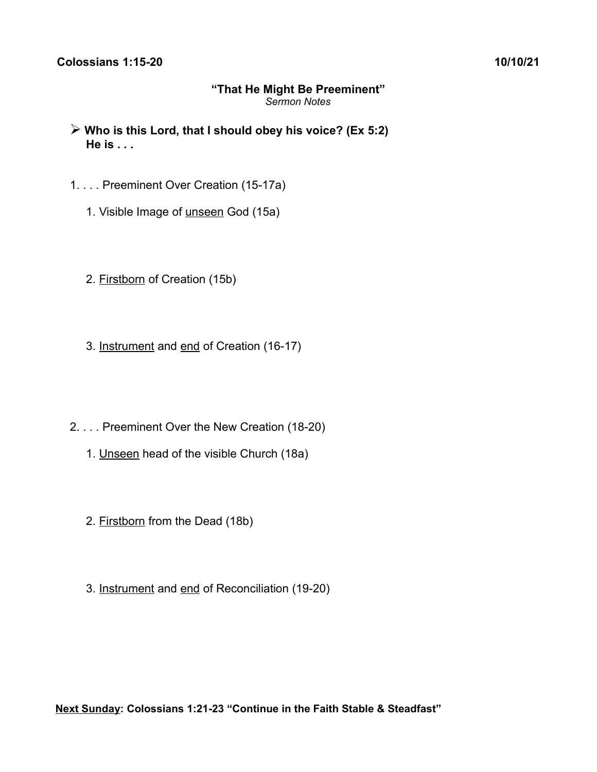### **"That He Might Be Preeminent"** *Sermon Notes*

- ➢ **Who is this Lord, that I should obey his voice? (Ex 5:2) He is . . .**
- 1. . . . Preeminent Over Creation (15-17a)
	- 1. Visible Image of unseen God (15a)
	- 2. Firstborn of Creation (15b)
	- 3. Instrument and end of Creation (16-17)
- 2. . . . Preeminent Over the New Creation (18-20)
	- 1. Unseen head of the visible Church (18a)
	- 2. Firstborn from the Dead (18b)
	- 3. Instrument and end of Reconciliation (19-20)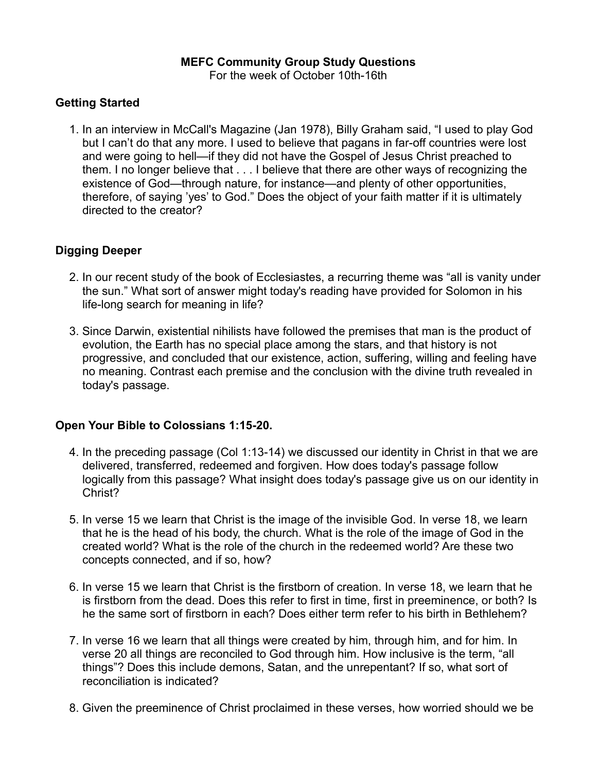# **MEFC Community Group Study Questions**

For the week of October 10th-16th

### **Getting Started**

1. In an interview in McCall's Magazine (Jan 1978), Billy Graham said, "I used to play God but I can't do that any more. I used to believe that pagans in far-off countries were lost and were going to hell—if they did not have the Gospel of Jesus Christ preached to them. I no longer believe that . . . I believe that there are other ways of recognizing the existence of God—through nature, for instance—and plenty of other opportunities, therefore, of saying 'yes' to God." Does the object of your faith matter if it is ultimately directed to the creator?

### **Digging Deeper**

- 2. In our recent study of the book of Ecclesiastes, a recurring theme was "all is vanity under the sun." What sort of answer might today's reading have provided for Solomon in his life-long search for meaning in life?
- 3. Since Darwin, existential nihilists have followed the premises that man is the product of evolution, the Earth has no special place among the stars, and that history is not progressive, and concluded that our existence, action, suffering, willing and feeling have no meaning. Contrast each premise and the conclusion with the divine truth revealed in today's passage.

## **Open Your Bible to Colossians 1:15-20.**

- 4. In the preceding passage (Col 1:13-14) we discussed our identity in Christ in that we are delivered, transferred, redeemed and forgiven. How does today's passage follow logically from this passage? What insight does today's passage give us on our identity in Christ?
- 5. In verse 15 we learn that Christ is the image of the invisible God. In verse 18, we learn that he is the head of his body, the church. What is the role of the image of God in the created world? What is the role of the church in the redeemed world? Are these two concepts connected, and if so, how?
- 6. In verse 15 we learn that Christ is the firstborn of creation. In verse 18, we learn that he is firstborn from the dead. Does this refer to first in time, first in preeminence, or both? Is he the same sort of firstborn in each? Does either term refer to his birth in Bethlehem?
- 7. In verse 16 we learn that all things were created by him, through him, and for him. In verse 20 all things are reconciled to God through him. How inclusive is the term, "all things"? Does this include demons, Satan, and the unrepentant? If so, what sort of reconciliation is indicated?
- 8. Given the preeminence of Christ proclaimed in these verses, how worried should we be